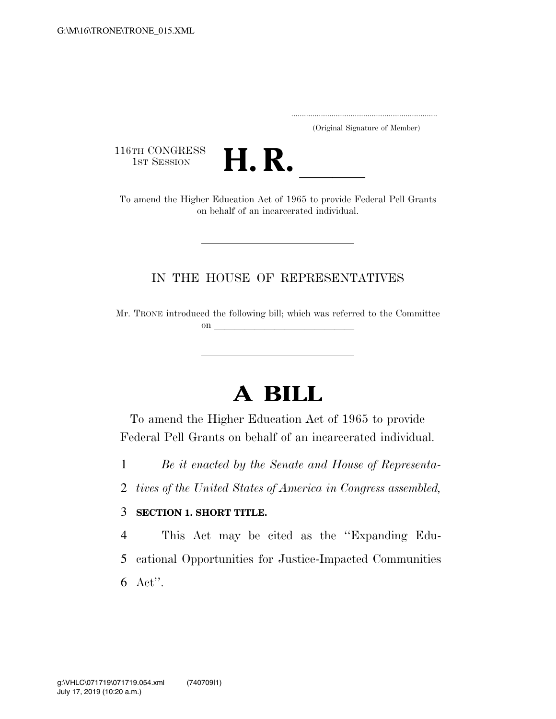..................................................................... (Original Signature of Member)

116TH CONGRESS<br>1st Session



16TH CONGRESS<br>
1st Session<br>
To amend the Higher Education Act of 1965 to provide Federal Pell Grants on behalf of an incarcerated individual.

## IN THE HOUSE OF REPRESENTATIVES

Mr. TRONE introduced the following bill; which was referred to the Committee on llet us a set of the set of the set of the set of the set of the set of the set of the set of the set of the set of the set of the set of the set of the set of the set of the set of the set of the set of the set of the

## **A BILL**

To amend the Higher Education Act of 1965 to provide Federal Pell Grants on behalf of an incarcerated individual.

1 *Be it enacted by the Senate and House of Representa-*

2 *tives of the United States of America in Congress assembled,* 

## 3 **SECTION 1. SHORT TITLE.**

4 This Act may be cited as the ''Expanding Edu-5 cational Opportunities for Justice-Impacted Communities 6 Act''.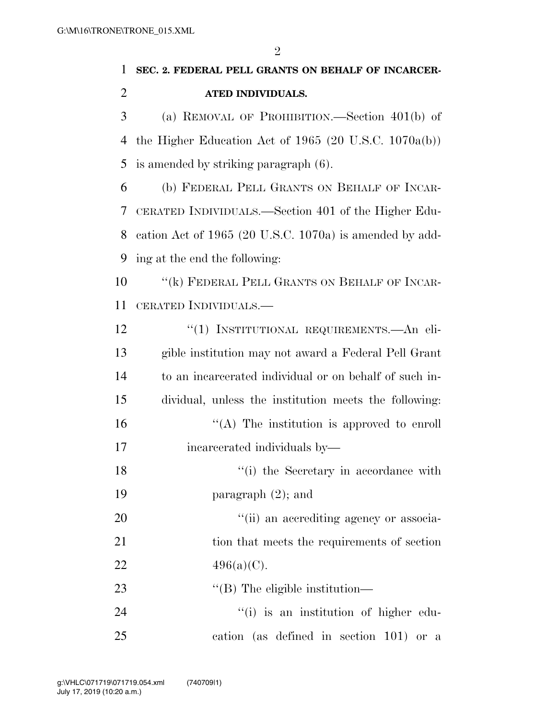$\mathfrak{D}$ 

## **SEC. 2. FEDERAL PELL GRANTS ON BEHALF OF INCARCER- ATED INDIVIDUALS.**  (a) REMOVAL OF PROHIBITION.—Section 401(b) of the Higher Education Act of 1965 (20 U.S.C. 1070a(b)) is amended by striking paragraph (6). (b) FEDERAL PELL GRANTS ON BEHALF OF INCAR-

 CERATED INDIVIDUALS.—Section 401 of the Higher Edu- cation Act of 1965 (20 U.S.C. 1070a) is amended by add-ing at the end the following:

10 "(k) FEDERAL PELL GRANTS ON BEHALF OF INCAR-CERATED INDIVIDUALS.—

| 12 | "(1) INSTITUTIONAL REQUIREMENTS. An eli-               |
|----|--------------------------------------------------------|
| 13 | gible institution may not award a Federal Pell Grant   |
| 14 | to an incarcerated individual or on behalf of such in- |
| 15 | dividual, unless the institution meets the following:  |
| 16 | "(A) The institution is approved to enroll             |
| 17 | incarcerated individuals by—                           |
| 18 | "(i) the Secretary in accordance with                  |
| 19 | paragraph $(2)$ ; and                                  |
| 20 | "(ii) an accrediting agency or associa-                |
| 21 | tion that meets the requirements of section            |
| 22 | $496(a)(C)$ .                                          |
| 23 | $\lq$ (B) The eligible institution—                    |
| 24 | "(i) is an institution of higher edu-                  |
| 25 | cation (as defined in section 101) or a                |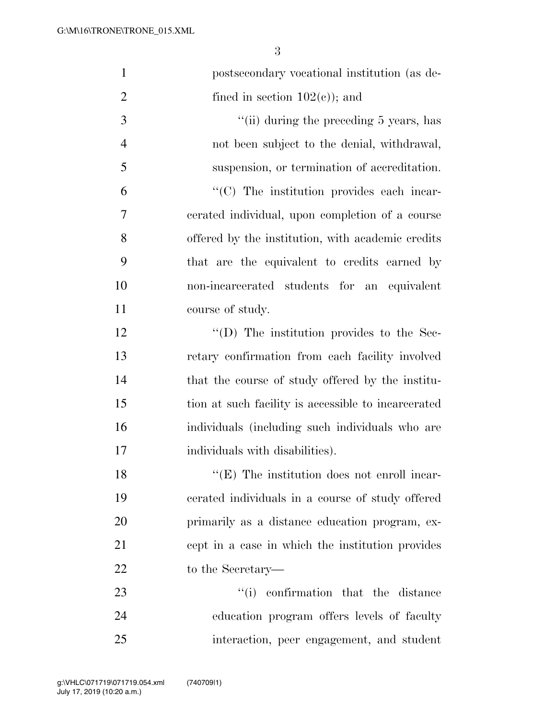| $\mathbf{1}$   | postsecondary vocational institution (as de-        |
|----------------|-----------------------------------------------------|
| $\overline{2}$ | fined in section $102(e)$ ; and                     |
| 3              | "(ii) during the preceding 5 years, has             |
| $\overline{4}$ | not been subject to the denial, withdrawal,         |
| 5              | suspension, or termination of accreditation.        |
| 6              | "(C) The institution provides each incar-           |
| 7              | cerated individual, upon completion of a course     |
| 8              | offered by the institution, with academic credits   |
| 9              | that are the equivalent to credits earned by        |
| 10             | non-incarcerated students for an equivalent         |
| 11             | course of study.                                    |
| 12             | $\lq\lq$ (D) The institution provides to the Sec-   |
| 13             | retary confirmation from each facility involved     |
| 14             | that the course of study offered by the institu-    |
| 15             | tion at such facility is accessible to incarcerated |
| 16             | individuals (including such individuals who are     |
| 17             | individuals with disabilities).                     |
| 18             | $H(E)$ The institution does not enroll incar-       |
| 19             | cerated individuals in a course of study offered    |
| 20             | primarily as a distance education program, ex-      |
| 21             | cept in a case in which the institution provides    |
| 22             | to the Secretary—                                   |
| 23             | "(i) confirmation that the distance                 |
| 24             | education program offers levels of faculty          |
| 25             | interaction, peer engagement, and student           |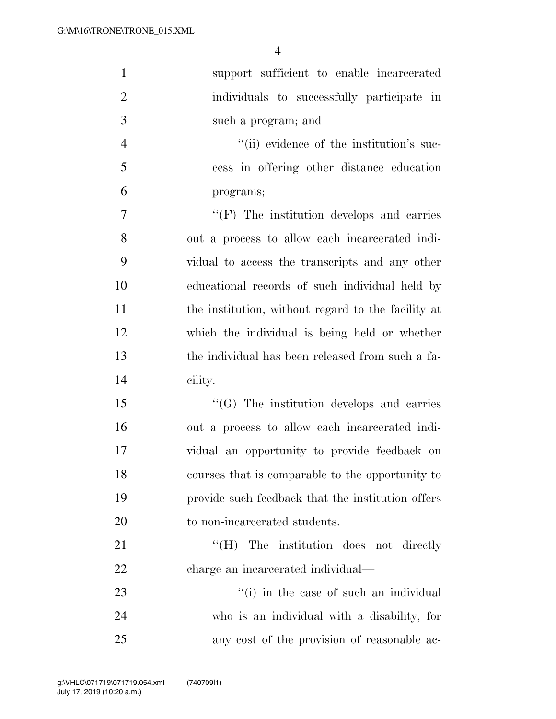| $\mathbf{1}$   | support sufficient to enable incarcerated          |
|----------------|----------------------------------------------------|
| $\overline{2}$ | individuals to successfully participate in         |
| 3              | such a program; and                                |
| $\overline{4}$ | "(ii) evidence of the institution's suc-           |
| 5              | cess in offering other distance education          |
| 6              | programs;                                          |
| $\overline{7}$ | $\lq\lq(F)$ The institution develops and carries   |
| 8              | out a process to allow each incarcerated indi-     |
| 9              | vidual to access the transcripts and any other     |
| 10             | educational records of such individual held by     |
| 11             | the institution, without regard to the facility at |
| 12             | which the individual is being held or whether      |
| 13             | the individual has been released from such a fa-   |
| 14             | cility.                                            |
| 15             | $\lq\lq(G)$ The institution develops and carries   |
| 16             | out a process to allow each incarcerated indi-     |
| 17             | vidual an opportunity to provide feedback on       |
| 18             | courses that is comparable to the opportunity to   |
| 19             | provide such feedback that the institution offers  |
| 20             | to non-incarcerated students.                      |
| 21             | "(H) The institution does not directly             |
| 22             | charge an incarcerated individual—                 |
| 23             | "(i) in the case of such an individual             |
| 24             | who is an individual with a disability, for        |
| 25             | any cost of the provision of reasonable ac-        |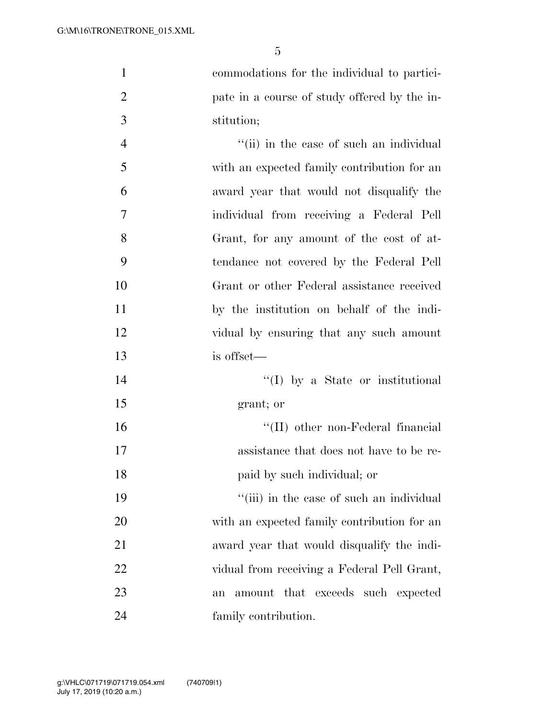commodations for the individual to partici- pate in a course of study offered by the in-stitution;

 $''(ii)$  in the case of such an individual with an expected family contribution for an award year that would not disqualify the individual from receiving a Federal Pell Grant, for any amount of the cost of at- tendance not covered by the Federal Pell Grant or other Federal assistance received by the institution on behalf of the indi- vidual by ensuring that any such amount is offset—  $\text{``(I)}$  by a State or institutional grant; or

 ''(II) other non-Federal financial assistance that does not have to be re-paid by such individual; or

19 ''(iii) in the case of such an individual with an expected family contribution for an award year that would disqualify the indi- vidual from receiving a Federal Pell Grant, an amount that exceeds such expected family contribution.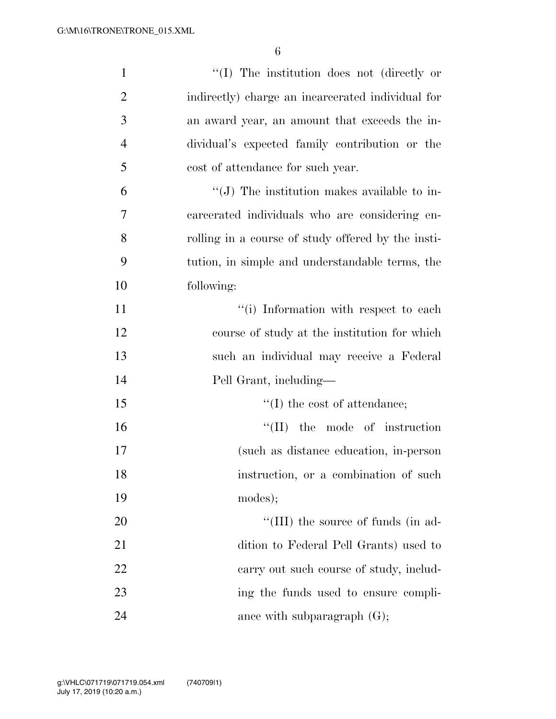| $\mathbf{1}$   | "(I) The institution does not (directly or         |
|----------------|----------------------------------------------------|
| $\overline{2}$ | indirectly) charge an incarcerated individual for  |
| 3              | an award year, an amount that exceeds the in-      |
| $\overline{4}$ | dividual's expected family contribution or the     |
| 5              | cost of attendance for such year.                  |
| 6              | $\lq\lq(J)$ The institution makes available to in- |
| 7              | carcerated individuals who are considering en-     |
| 8              | rolling in a course of study offered by the insti- |
| 9              | tution, in simple and understandable terms, the    |
| 10             | following:                                         |
| 11             | "(i) Information with respect to each              |
| 12             | course of study at the institution for which       |
| 13             | such an individual may receive a Federal           |
| 14             | Pell Grant, including-                             |
| 15             | $\lq\lq$ the cost of attendance;                   |
| 16             | $\lq\lq$ (II) the mode of instruction              |
| 17             | (such as distance education, in-person             |
| 18             | instruction, or a combination of such              |
| 19             | modes);                                            |
| 20             | "(III) the source of funds (in ad-                 |
| 21             | dition to Federal Pell Grants) used to             |
| 22             | carry out such course of study, includ-            |
| 23             | ing the funds used to ensure compli-               |
| 24             | ance with subparagraph $(G)$ ;                     |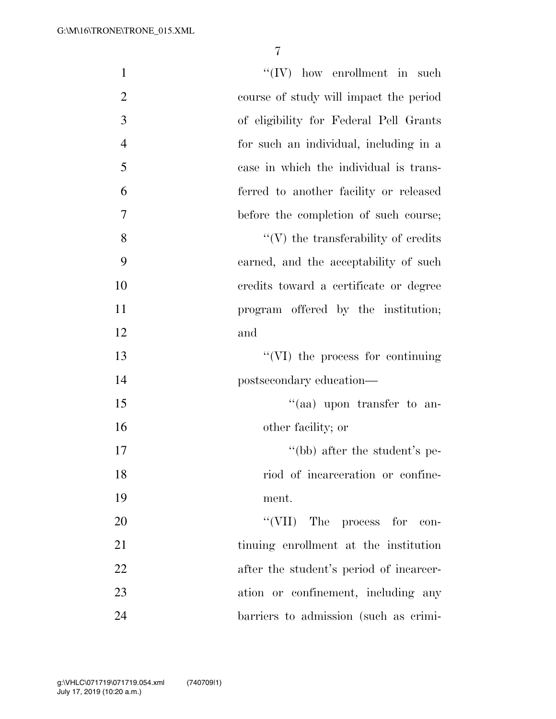| $\mathbf{1}$   | $\lq\lq (IV)$ how enrollment in such    |
|----------------|-----------------------------------------|
| $\overline{2}$ | course of study will impact the period  |
| 3              | of eligibility for Federal Pell Grants  |
| $\overline{4}$ | for such an individual, including in a  |
| 5              | case in which the individual is trans-  |
| 6              | ferred to another facility or released  |
| 7              | before the completion of such course;   |
| 8              | $\lq\lq$ the transferability of credits |
| 9              | earned, and the acceptability of such   |
| 10             | credits toward a certificate or degree  |
| 11             | program offered by the institution;     |
| 12             | and                                     |
| 13             | "(VI) the process for continuing        |
| 14             | postsecondary education-                |
| 15             | "(aa) upon transfer to an-              |
| 16             | other facility; or                      |
| 17             | "(bb) after the student's pe-           |
| 18             | riod of incarceration or confine-       |
| 19             | ment.                                   |
| 20             | "(VII) The process for con-             |
| 21             | tinuing enrollment at the institution   |
| 22             | after the student's period of incarcer- |
| 23             | ation or confinement, including any     |
| 24             | barriers to admission (such as crimi-   |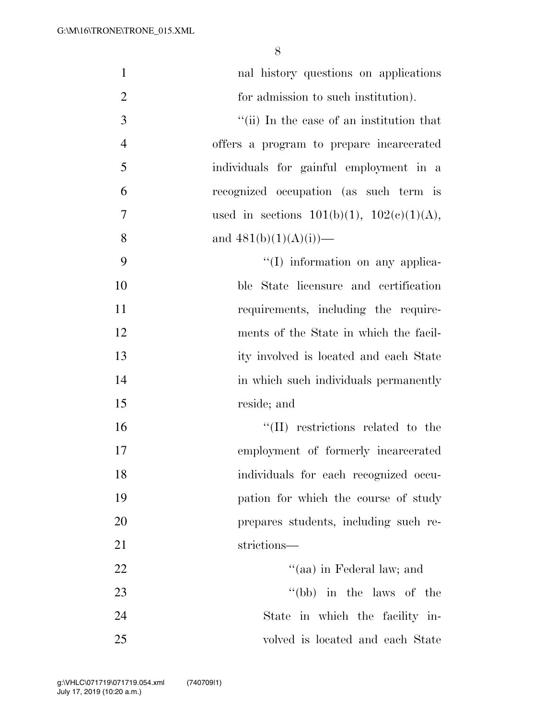| $\mathbf{1}$   | nal history questions on applications           |
|----------------|-------------------------------------------------|
| $\overline{2}$ | for admission to such institution).             |
| 3              | "(ii) In the case of an institution that        |
| $\overline{4}$ | offers a program to prepare incarcerated        |
| 5              | individuals for gainful employment in a         |
| 6              | recognized occupation (as such term is          |
| 7              | used in sections $101(b)(1)$ , $102(e)(1)(A)$ , |
| 8              | and $481(b)(1)(A)(i)$ —                         |
| 9              | $\lq\lq$ information on any applica-            |
| 10             | ble State licensure and certification           |
| 11             | requirements, including the require-            |
| 12             | ments of the State in which the facil-          |
| 13             | ity involved is located and each State          |
| 14             | in which such individuals permanently           |
| 15             | reside; and                                     |
| 16             | $\lq\lq$ (II) restrictions related to the       |
| 17             | employment of formerly incarcerated             |
| 18             | individuals for each recognized occu-           |
| 19             | pation for which the course of study            |
| 20             | prepares students, including such re-           |
| 21             | strictions—                                     |
| 22             | "(aa) in Federal law; and                       |
| 23             | $\lq\lq(bb)$ in the laws of the                 |
| 24             | State in which the facility in-                 |
| 25             | volved is located and each State                |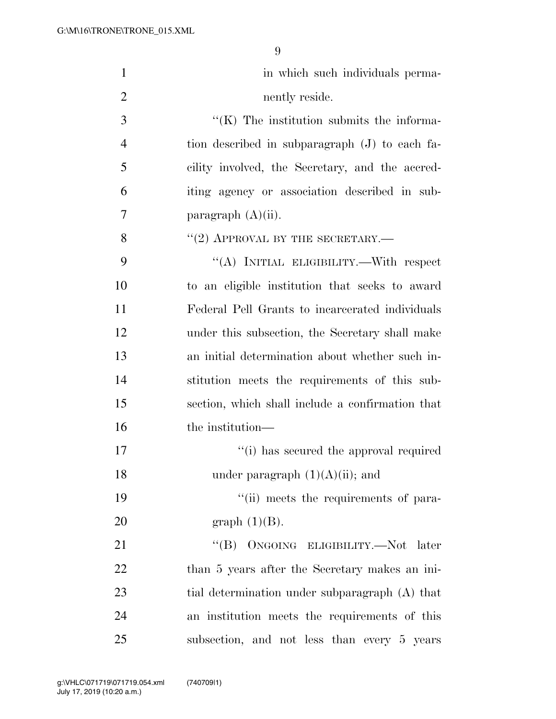| $\mathbf{1}$   | in which such individuals perma-                  |
|----------------|---------------------------------------------------|
| $\overline{2}$ | nently reside.                                    |
| 3              | $\lq\lq$ (K) The institution submits the informa- |
| 4              | tion described in subparagraph (J) to each fa-    |
| 5              | cility involved, the Secretary, and the accred-   |
| 6              | iting agency or association described in sub-     |
| 7              | paragraph $(A)(ii)$ .                             |
| 8              | $``(2)$ APPROVAL BY THE SECRETARY.—               |
| 9              | "(A) INITIAL ELIGIBILITY.—With respect            |
| 10             | to an eligible institution that seeks to award    |
| 11             | Federal Pell Grants to incarcerated individuals   |
| 12             | under this subsection, the Secretary shall make   |
| 13             | an initial determination about whether such in-   |
| 14             | stitution meets the requirements of this sub-     |
| 15             | section, which shall include a confirmation that  |
| 16             | the institution—                                  |
| 17             | "(i) has secured the approval required            |
| 18             | under paragraph $(1)(A)(ii)$ ; and                |
| 19             | "(ii) meets the requirements of para-             |
| 20             | graph $(1)(B)$ .                                  |
| 21             | "(B) ONGOING ELIGIBILITY.—Not later               |
| 22             | than 5 years after the Secretary makes an ini-    |
| 23             | tial determination under subparagraph (A) that    |
| 24             | an institution meets the requirements of this     |
| 25             | subsection, and not less than every 5 years       |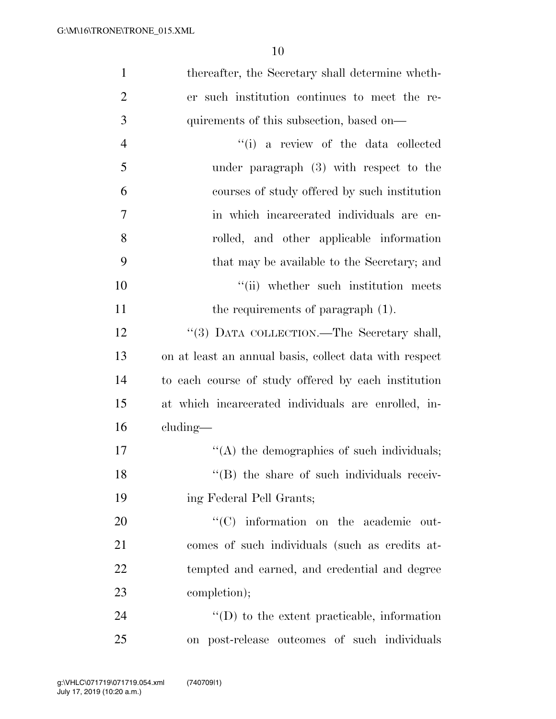| $\mathbf{1}$   | thereafter, the Secretary shall determine wheth-       |
|----------------|--------------------------------------------------------|
| $\overline{2}$ | er such institution continues to meet the re-          |
| 3              | quirements of this subsection, based on-               |
| $\overline{4}$ | "(i) a review of the data collected                    |
| 5              | under paragraph $(3)$ with respect to the              |
| 6              | courses of study offered by such institution           |
| 7              | in which incarcerated individuals are en-              |
| 8              | rolled, and other applicable information               |
| 9              | that may be available to the Secretary; and            |
| 10             | "(ii) whether such institution meets"                  |
| 11             | the requirements of paragraph (1).                     |
| 12             | "(3) DATA COLLECTION.—The Secretary shall,             |
| 13             | on at least an annual basis, collect data with respect |
| 14             | to each course of study offered by each institution    |
| 15             | at which incarcerated individuals are enrolled, in-    |
| 16             | cluding—                                               |
| 17             | $\lq\lq$ the demographics of such individuals;         |
| 18             | "(B) the share of such individuals receiv-             |
| 19             | ing Federal Pell Grants;                               |
| 20             | "(C) information on the academic out-                  |
| 21             | comes of such individuals (such as credits at-         |
| 22             | tempted and earned, and credential and degree          |
| 23             | completion);                                           |
| 24             | $\lq\lq$ to the extent practicable, information        |
| 25             | on post-release outcomes of such individuals           |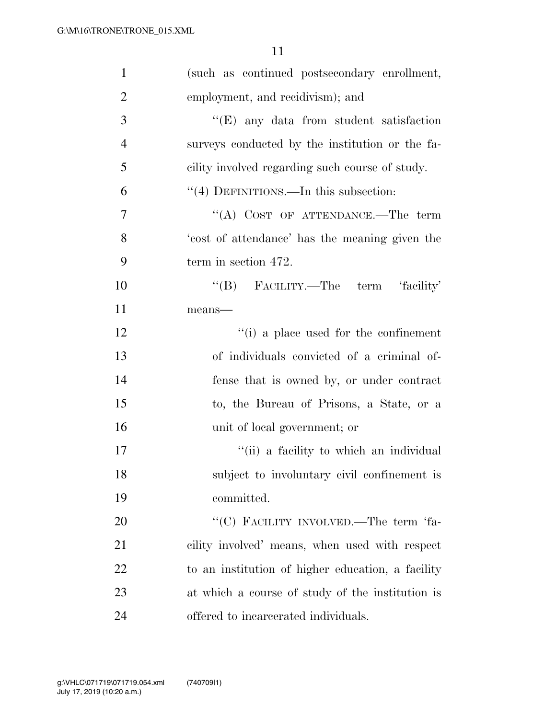| $\mathbf{1}$   | (such as continued postsecondary enrollment,      |
|----------------|---------------------------------------------------|
| $\overline{2}$ | employment, and recidivism); and                  |
| 3              | $\lq\lq(E)$ any data from student satisfaction    |
| $\overline{4}$ | surveys conducted by the institution or the fa-   |
| 5              | cility involved regarding such course of study.   |
| 6              | "(4) DEFINITIONS.—In this subsection:             |
| $\tau$         | "(A) COST OF ATTENDANCE.—The term                 |
| 8              | 'cost of attendance' has the meaning given the    |
| 9              | term in section 472.                              |
| 10             | "(B) FACILITY.—The term 'facility'                |
| 11             | means-                                            |
| 12             | "(i) a place used for the confinement             |
| 13             | of individuals convicted of a criminal of-        |
| 14             | fense that is owned by, or under contract         |
| 15             | to, the Bureau of Prisons, a State, or a          |
| 16             | unit of local government; or                      |
| 17             | "(ii) a facility to which an individual           |
| 18             | subject to involuntary civil confinement is       |
| 19             | committed.                                        |
| 20             | "(C) FACILITY INVOLVED.—The term 'fa-             |
| 21             | cility involved' means, when used with respect    |
| 22             | to an institution of higher education, a facility |
| 23             | at which a course of study of the institution is  |
| 24             | offered to incarcerated individuals.              |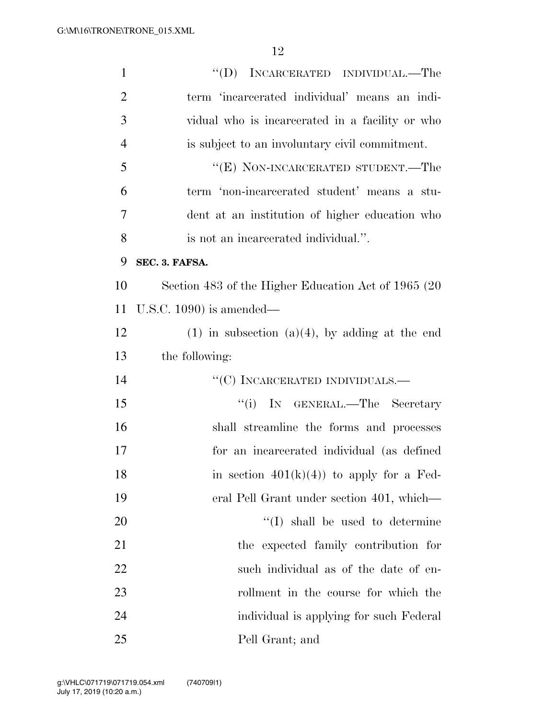| $\mathbf{1}$   | "(D) INCARCERATED INDIVIDUAL.—The                    |  |  |
|----------------|------------------------------------------------------|--|--|
| $\overline{2}$ | term 'incarcerated individual' means an indi-        |  |  |
| 3              | vidual who is incarcerated in a facility or who      |  |  |
| $\overline{4}$ | is subject to an involuntary civil commitment.       |  |  |
| 5              | "(E) NON-INCARCERATED STUDENT.—The                   |  |  |
| 6              | term 'non-incarcerated student' means a stu-         |  |  |
| 7              | dent at an institution of higher education who       |  |  |
| 8              | is not an incarcerated individual.".                 |  |  |
| 9              | SEC. 3. FAFSA.                                       |  |  |
| 10             | Section 483 of the Higher Education Act of 1965 (20) |  |  |
| 11             | U.S.C. 1090) is amended—                             |  |  |
| 12             | $(1)$ in subsection $(a)(4)$ , by adding at the end  |  |  |
| 13             | the following:                                       |  |  |
| 14             | $\lq\lq$ (C) INCARCERATED INDIVIDUALS.—              |  |  |
|                | ``(i)<br>IN GENERAL.—The Secretary                   |  |  |
| 15             |                                                      |  |  |
| 16             | shall streamline the forms and processes             |  |  |
| 17             | for an incarcerated individual (as defined           |  |  |
| 18             | in section $401(k)(4)$ to apply for a Fed-           |  |  |
| 19             | eral Pell Grant under section 401, which—            |  |  |
| 20             | $\lq\lq$ shall be used to determine                  |  |  |
| 21             | the expected family contribution for                 |  |  |
| 22             | such individual as of the date of en-                |  |  |
| 23             | rollment in the course for which the                 |  |  |
| 24             | individual is applying for such Federal              |  |  |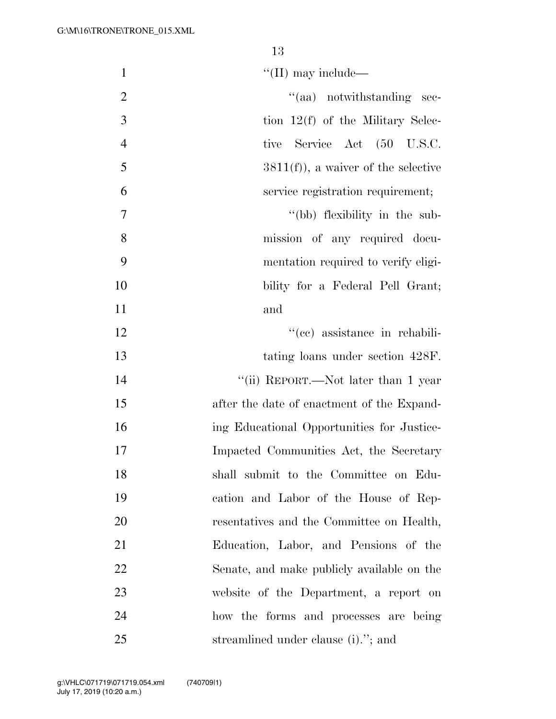1  $\text{``(II)}$  may include—

| 2  | $\cdot$ (aa) notwithstanding sec-     |
|----|---------------------------------------|
| -3 | tion $12(f)$ of the Military Selec-   |
|    | tive Service Act (50 U.S.C.           |
| -5 | $3811(f)$ , a waiver of the selective |
|    | service registration requirement;     |

7 ''(bb) flexibility in the sub- mission of any required docu- mentation required to verify eligi-10 bility for a Federal Pell Grant; and

12 ''(cc) assistance in rehabili-13 tating loans under section 428F. 14 ''(ii) REPORT.—Not later than 1 year after the date of enactment of the Expand- ing Educational Opportunities for Justice- Impacted Communities Act, the Secretary shall submit to the Committee on Edu- cation and Labor of the House of Rep- resentatives and the Committee on Health, Education, Labor, and Pensions of the Senate, and make publicly available on the website of the Department, a report on how the forms and processes are being 25 streamlined under clause (i)."; and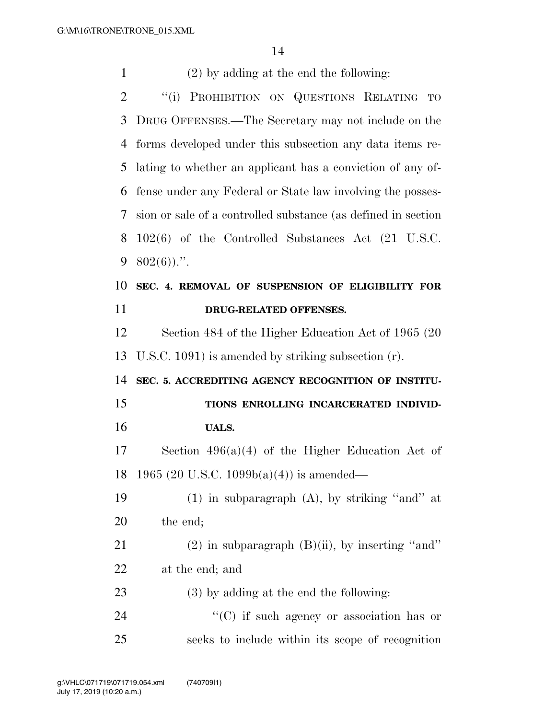| $\mathbf{1}$   | $(2)$ by adding at the end the following:                       |
|----------------|-----------------------------------------------------------------|
| $\overline{2}$ | "(i) PROHIBITION ON QUESTIONS RELATING<br>TO                    |
| 3              | DRUG OFFENSES.—The Secretary may not include on the             |
| 4              | forms developed under this subsection any data items re-        |
| 5              | lating to whether an applicant has a conviction of any of-      |
| 6              | fense under any Federal or State law involving the posses-      |
| 7              | sion or sale of a controlled substance (as defined in section   |
| 8              | $102(6)$ of the Controlled Substances Act $(21 \text{ U.S.C.})$ |
| 9              | $802(6)$                                                        |
| 10             | SEC. 4. REMOVAL OF SUSPENSION OF ELIGIBILITY FOR                |
| 11             | DRUG-RELATED OFFENSES.                                          |
| 12             | Section 484 of the Higher Education Act of 1965 (20)            |
| 13             | U.S.C. 1091) is amended by striking subsection $(r)$ .          |
| 14             | SEC. 5. ACCREDITING AGENCY RECOGNITION OF INSTITU-              |
| 15             | TIONS ENROLLING INCARCERATED INDIVID-                           |
| 16             | <b>UALS.</b>                                                    |
| 17             | Section $496(a)(4)$ of the Higher Education Act of              |
| 18             | 1965 (20 U.S.C. 1099b(a)(4)) is amended—                        |
| 19             | $(1)$ in subparagraph $(A)$ , by striking "and" at              |
| 20             | the end;                                                        |
| 21             | $(2)$ in subparagraph $(B)(ii)$ , by inserting "and"            |
| 22             | at the end; and                                                 |
| 23             | $(3)$ by adding at the end the following:                       |
| 24             | $\lq\lq$ <sup>"</sup> (C) if such agency or association has or  |
| 25             | seeks to include within its scope of recognition                |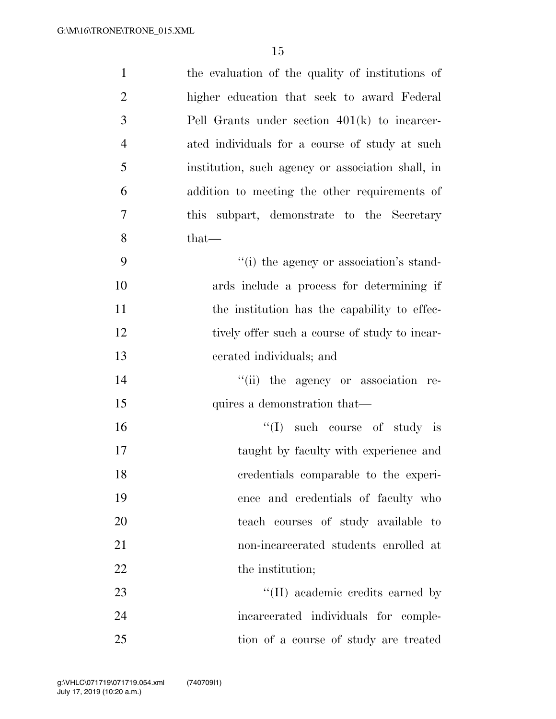| $\mathbf{1}$   | the evaluation of the quality of institutions of  |
|----------------|---------------------------------------------------|
| $\overline{2}$ | higher education that seek to award Federal       |
| 3              | Pell Grants under section $401(k)$ to incarcer-   |
| $\overline{4}$ | ated individuals for a course of study at such    |
| 5              | institution, such agency or association shall, in |
| 6              | addition to meeting the other requirements of     |
| 7              | this subpart, demonstrate to the Secretary        |
| 8              | that-                                             |
| 9              | "(i) the agency or association's stand-           |
| 10             | ards include a process for determining if         |
| 11             | the institution has the capability to effec-      |
| 12             | tively offer such a course of study to incar-     |
| 13             | cerated individuals; and                          |
| 14             | "(ii) the agency or association re-               |
| 15             | quires a demonstration that—                      |
| 16             | $\lq\lq$ such course of study is                  |
| 17             | taught by faculty with experience and             |
| 18             | credentials comparable to the experi-             |
| 19             | ence and credentials of faculty who               |
| 20             | teach courses of study available to               |
| 21             | non-incarcerated students enrolled at             |
| 22             | the institution;                                  |
| 23             | $\lq\lq$ (II) academic credits earned by          |
| 24             | incarcerated individuals for comple-              |
| 25             | tion of a course of study are treated             |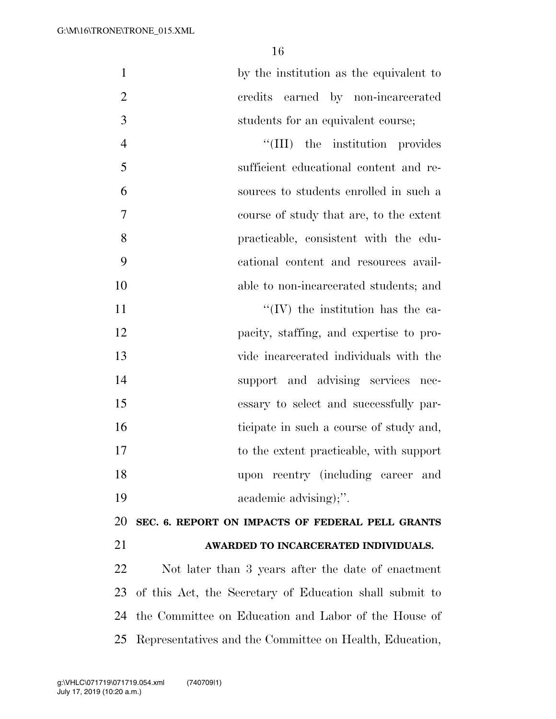by the institution as the equivalent to credits earned by non-incarcerated students for an equivalent course;

4 ''(III) the institution provides sufficient educational content and re- sources to students enrolled in such a course of study that are, to the extent practicable, consistent with the edu- cational content and resources avail-able to non-incarcerated students; and

 $\mathcal{C}(IV)$  the institution has the ca- pacity, staffing, and expertise to pro- vide incarcerated individuals with the support and advising services nec- essary to select and successfully par-16 ticipate in such a course of study and, to the extent practicable, with support upon reentry (including career and 19 academic advising);".

**SEC. 6. REPORT ON IMPACTS OF FEDERAL PELL GRANTS** 

- 
- **AWARDED TO INCARCERATED INDIVIDUALS.**

 Not later than 3 years after the date of enactment of this Act, the Secretary of Education shall submit to the Committee on Education and Labor of the House of Representatives and the Committee on Health, Education,